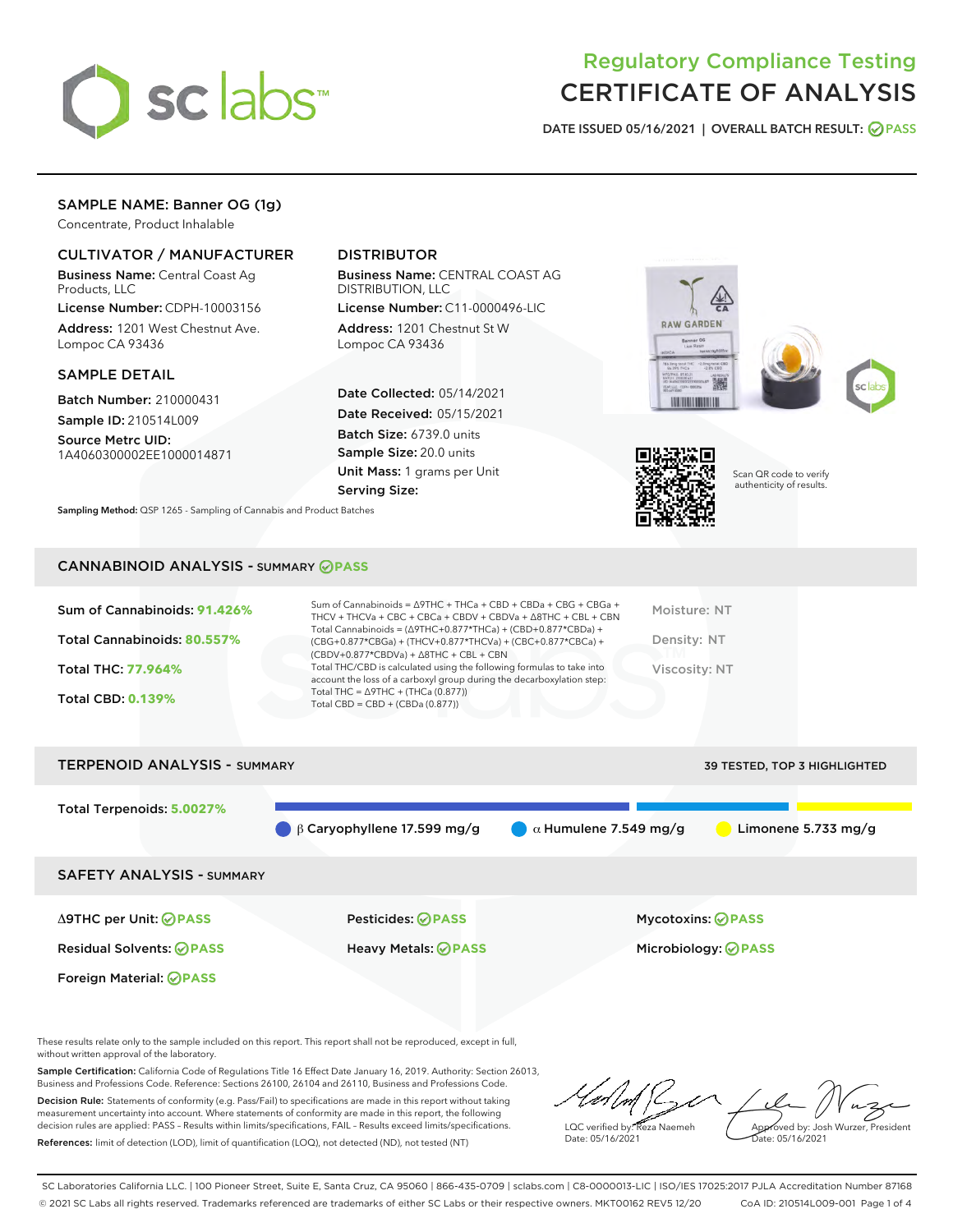

## Regulatory Compliance Testing CERTIFICATE OF ANALYSIS

DATE ISSUED 05/16/2021 | OVERALL BATCH RESULT: @ PASS

## SAMPLE NAME: Banner OG (1g)

Concentrate, Product Inhalable

### CULTIVATOR / MANUFACTURER

Business Name: Central Coast Ag Products, LLC

License Number: CDPH-10003156 Address: 1201 West Chestnut Ave. Lompoc CA 93436

#### SAMPLE DETAIL

Batch Number: 210000431 Sample ID: 210514L009

Source Metrc UID: 1A4060300002EE1000014871

## DISTRIBUTOR

Business Name: CENTRAL COAST AG DISTRIBUTION, LLC

License Number: C11-0000496-LIC Address: 1201 Chestnut St W Lompoc CA 93436

Date Collected: 05/14/2021 Date Received: 05/15/2021 Batch Size: 6739.0 units Sample Size: 20.0 units Unit Mass: 1 grams per Unit Serving Size:







Scan QR code to verify authenticity of results.

Sampling Method: QSP 1265 - Sampling of Cannabis and Product Batches

#### CANNABINOID ANALYSIS - SUMMARY **PASS**

| Sum of Cannabinoids: 91.426% | Sum of Cannabinoids = $\triangle$ 9THC + THCa + CBD + CBDa + CBG + CBGa +<br>THCV + THCVa + CBC + CBCa + CBDV + CBDVa + $\Delta$ 8THC + CBL + CBN                                    | Moisture: NT  |
|------------------------------|--------------------------------------------------------------------------------------------------------------------------------------------------------------------------------------|---------------|
| Total Cannabinoids: 80.557%  | Total Cannabinoids = $(\Delta$ 9THC+0.877*THCa) + (CBD+0.877*CBDa) +<br>(CBG+0.877*CBGa) + (THCV+0.877*THCVa) + (CBC+0.877*CBCa) +<br>$(CBDV+0.877*CBDVa) + \Delta 8THC + CBL + CBN$ | Density: NT   |
| <b>Total THC: 77.964%</b>    | Total THC/CBD is calculated using the following formulas to take into<br>account the loss of a carboxyl group during the decarboxylation step:                                       | Viscosity: NT |
| <b>Total CBD: 0.139%</b>     | Total THC = $\triangle$ 9THC + (THCa (0.877))<br>Total CBD = $CBD + (CBDa (0.877))$                                                                                                  |               |
|                              |                                                                                                                                                                                      |               |

# TERPENOID ANALYSIS - SUMMARY 39 TESTED, TOP 3 HIGHLIGHTED Total Terpenoids: **5.0027% β Caryophyllene 17.599 mg/g a Mumulene 7.549 mg/g b Limonene 5.733 mg/g** SAFETY ANALYSIS - SUMMARY Δ9THC per Unit: **PASS** Pesticides: **PASS** Mycotoxins: **PASS** Residual Solvents: **PASS** Heavy Metals: **PASS** Microbiology: **PASS** Foreign Material: **PASS**

These results relate only to the sample included on this report. This report shall not be reproduced, except in full, without written approval of the laboratory.

Sample Certification: California Code of Regulations Title 16 Effect Date January 16, 2019. Authority: Section 26013, Business and Professions Code. Reference: Sections 26100, 26104 and 26110, Business and Professions Code.

Decision Rule: Statements of conformity (e.g. Pass/Fail) to specifications are made in this report without taking measurement uncertainty into account. Where statements of conformity are made in this report, the following decision rules are applied: PASS – Results within limits/specifications, FAIL – Results exceed limits/specifications. References: limit of detection (LOD), limit of quantification (LOQ), not detected (ND), not tested (NT)

LQC verified by: Reza Naemeh Date: 05/16/2021 Approved by: Josh Wurzer, President Date: 05/16/2021

SC Laboratories California LLC. | 100 Pioneer Street, Suite E, Santa Cruz, CA 95060 | 866-435-0709 | sclabs.com | C8-0000013-LIC | ISO/IES 17025:2017 PJLA Accreditation Number 87168 © 2021 SC Labs all rights reserved. Trademarks referenced are trademarks of either SC Labs or their respective owners. MKT00162 REV5 12/20 CoA ID: 210514L009-001 Page 1 of 4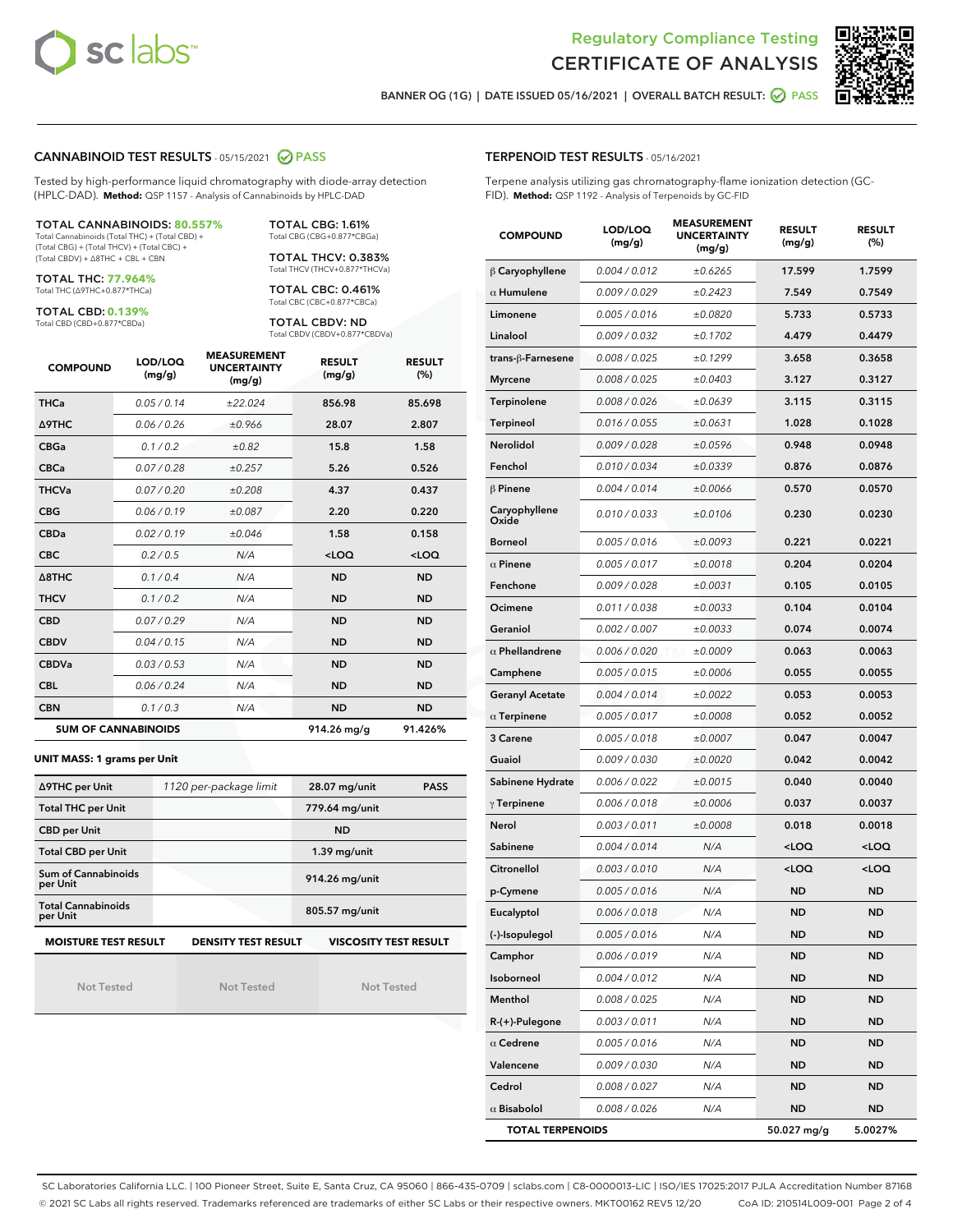



BANNER OG (1G) | DATE ISSUED 05/16/2021 | OVERALL BATCH RESULT: @ PASS

#### CANNABINOID TEST RESULTS - 05/15/2021 2 PASS

Tested by high-performance liquid chromatography with diode-array detection (HPLC-DAD). **Method:** QSP 1157 - Analysis of Cannabinoids by HPLC-DAD

#### TOTAL CANNABINOIDS: **80.557%**

Total Cannabinoids (Total THC) + (Total CBD) + (Total CBG) + (Total THCV) + (Total CBC) + (Total CBDV) + ∆8THC + CBL + CBN

TOTAL THC: **77.964%** Total THC (∆9THC+0.877\*THCa)

TOTAL CBD: **0.139%**

Total CBD (CBD+0.877\*CBDa)

TOTAL CBG: 1.61% Total CBG (CBG+0.877\*CBGa)

TOTAL THCV: 0.383% Total THCV (THCV+0.877\*THCVa)

TOTAL CBC: 0.461% Total CBC (CBC+0.877\*CBCa)

TOTAL CBDV: ND Total CBDV (CBDV+0.877\*CBDVa)

| <b>COMPOUND</b>  | LOD/LOQ<br>(mg/g)          | <b>MEASUREMENT</b><br><b>UNCERTAINTY</b><br>(mg/g) | <b>RESULT</b><br>(mg/g) | <b>RESULT</b><br>(%) |
|------------------|----------------------------|----------------------------------------------------|-------------------------|----------------------|
| <b>THCa</b>      | 0.05/0.14                  | ±22.024                                            | 856.98                  | 85.698               |
| <b>A9THC</b>     | 0.06 / 0.26                | ±0.966                                             | 28.07                   | 2.807                |
| <b>CBGa</b>      | 0.1 / 0.2                  | ±0.82                                              | 15.8                    | 1.58                 |
| <b>CBCa</b>      | 0.07/0.28                  | ±0.257                                             | 5.26                    | 0.526                |
| <b>THCVa</b>     | 0.07/0.20                  | ±0.208                                             | 4.37                    | 0.437                |
| <b>CBG</b>       | 0.06/0.19                  | ±0.087                                             | 2.20                    | 0.220                |
| <b>CBDa</b>      | 0.02/0.19                  | ±0.046                                             | 1.58                    | 0.158                |
| <b>CBC</b>       | 0.2 / 0.5                  | N/A                                                | $<$ LOQ                 | $<$ LOQ              |
| $\triangle$ 8THC | 0.1/0.4                    | N/A                                                | <b>ND</b>               | <b>ND</b>            |
| <b>THCV</b>      | 0.1/0.2                    | N/A                                                | <b>ND</b>               | <b>ND</b>            |
| <b>CBD</b>       | 0.07/0.29                  | N/A                                                | <b>ND</b>               | <b>ND</b>            |
| <b>CBDV</b>      | 0.04 / 0.15                | N/A                                                | <b>ND</b>               | <b>ND</b>            |
| <b>CBDVa</b>     | 0.03/0.53                  | N/A                                                | <b>ND</b>               | <b>ND</b>            |
| <b>CBL</b>       | 0.06 / 0.24                | N/A                                                | <b>ND</b>               | <b>ND</b>            |
| <b>CBN</b>       | 0.1/0.3                    | N/A                                                | <b>ND</b>               | <b>ND</b>            |
|                  | <b>SUM OF CANNABINOIDS</b> |                                                    | 914.26 mg/g             | 91.426%              |

#### **UNIT MASS: 1 grams per Unit**

| ∆9THC per Unit                        | 1120 per-package limit | 28.07 mg/unit<br><b>PASS</b> |
|---------------------------------------|------------------------|------------------------------|
| <b>Total THC per Unit</b>             |                        | 779.64 mg/unit               |
| <b>CBD per Unit</b>                   |                        | <b>ND</b>                    |
| <b>Total CBD per Unit</b>             |                        | $1.39$ mg/unit               |
| Sum of Cannabinoids<br>per Unit       |                        | 914.26 mg/unit               |
| <b>Total Cannabinoids</b><br>per Unit |                        | 805.57 mg/unit               |
| <b>MOISTURE TEST RESULT</b>           | DENSITY TEST RESULT    | <b>VISCOSITY TEST RESULT</b> |

Not Tested

Not Tested

Not Tested

#### TERPENOID TEST RESULTS - 05/16/2021

Terpene analysis utilizing gas chromatography-flame ionization detection (GC-FID). **Method:** QSP 1192 - Analysis of Terpenoids by GC-FID

| <b>COMPOUND</b>         | LOD/LOQ<br>(mg/g) | <b>MEASUREMENT</b><br><b>UNCERTAINTY</b><br>(mg/g) | <b>RESULT</b><br>(mg/g)                         | <b>RESULT</b><br>(%) |
|-------------------------|-------------------|----------------------------------------------------|-------------------------------------------------|----------------------|
| $\beta$ Caryophyllene   | 0.004 / 0.012     | ±0.6265                                            | 17.599                                          | 1.7599               |
| $\alpha$ Humulene       | 0.009 / 0.029     | ±0.2423                                            | 7.549                                           | 0.7549               |
| Limonene                | 0.005 / 0.016     | ±0.0820                                            | 5.733                                           | 0.5733               |
| Linalool                | 0.009 / 0.032     | ±0.1702                                            | 4.479                                           | 0.4479               |
| trans-ß-Farnesene       | 0.008 / 0.025     | ±0.1299                                            | 3.658                                           | 0.3658               |
| <b>Myrcene</b>          | 0.008 / 0.025     | ±0.0403                                            | 3.127                                           | 0.3127               |
| Terpinolene             | 0.008 / 0.026     | ±0.0639                                            | 3.115                                           | 0.3115               |
| <b>Terpineol</b>        | 0.016 / 0.055     | ±0.0631                                            | 1.028                                           | 0.1028               |
| Nerolidol               | 0.009 / 0.028     | ±0.0596                                            | 0.948                                           | 0.0948               |
| Fenchol                 | 0.010 / 0.034     | ±0.0339                                            | 0.876                                           | 0.0876               |
| $\beta$ Pinene          | 0.004 / 0.014     | ±0.0066                                            | 0.570                                           | 0.0570               |
| Caryophyllene<br>Oxide  | 0.010 / 0.033     | ±0.0106                                            | 0.230                                           | 0.0230               |
| <b>Borneol</b>          | 0.005 / 0.016     | ±0.0093                                            | 0.221                                           | 0.0221               |
| $\alpha$ Pinene         | 0.005 / 0.017     | ±0.0018                                            | 0.204                                           | 0.0204               |
| Fenchone                | 0.009 / 0.028     | ±0.0031                                            | 0.105                                           | 0.0105               |
| Ocimene                 | 0.011 / 0.038     | ±0.0033                                            | 0.104                                           | 0.0104               |
| Geraniol                | 0.002 / 0.007     | ±0.0033                                            | 0.074                                           | 0.0074               |
| $\alpha$ Phellandrene   | 0.006 / 0.020     | ±0.0009                                            | 0.063                                           | 0.0063               |
| Camphene                | 0.005 / 0.015     | ±0.0006                                            | 0.055                                           | 0.0055               |
| <b>Geranyl Acetate</b>  | 0.004 / 0.014     | ±0.0022                                            | 0.053                                           | 0.0053               |
| $\alpha$ Terpinene      | 0.005 / 0.017     | ±0.0008                                            | 0.052                                           | 0.0052               |
| 3 Carene                | 0.005 / 0.018     | ±0.0007                                            | 0.047                                           | 0.0047               |
| Guaiol                  | 0.009 / 0.030     | ±0.0020                                            | 0.042                                           | 0.0042               |
| Sabinene Hydrate        | 0.006 / 0.022     | ±0.0015                                            | 0.040                                           | 0.0040               |
| $\gamma$ Terpinene      | 0.006 / 0.018     | ±0.0006                                            | 0.037                                           | 0.0037               |
| Nerol                   | 0.003 / 0.011     | ±0.0008                                            | 0.018                                           | 0.0018               |
| Sabinene                | 0.004 / 0.014     | N/A                                                | <loq< th=""><th><loq< th=""></loq<></th></loq<> | <loq< th=""></loq<>  |
| Citronellol             | 0.003 / 0.010     | N/A                                                | <loq< th=""><th><loq< th=""></loq<></th></loq<> | <loq< th=""></loq<>  |
| p-Cymene                | 0.005 / 0.016     | N/A                                                | ND                                              | <b>ND</b>            |
| Eucalyptol              | 0.006 / 0.018     | N/A                                                | <b>ND</b>                                       | ND                   |
| (-)-Isopulegol          | 0.005 / 0.016     | N/A                                                | ND                                              | ND                   |
| Camphor                 | 0.006 / 0.019     | N/A                                                | <b>ND</b>                                       | <b>ND</b>            |
| Isoborneol              | 0.004 / 0.012     | N/A                                                | <b>ND</b>                                       | <b>ND</b>            |
| Menthol                 | 0.008 / 0.025     | N/A                                                | ND                                              | <b>ND</b>            |
| R-(+)-Pulegone          | 0.003 / 0.011     | N/A                                                | ND                                              | ND                   |
| $\alpha$ Cedrene        | 0.005 / 0.016     | N/A                                                | <b>ND</b>                                       | ND                   |
| Valencene               | 0.009 / 0.030     | N/A                                                | ND                                              | <b>ND</b>            |
| Cedrol                  | 0.008 / 0.027     | N/A                                                | <b>ND</b>                                       | ND                   |
| $\alpha$ Bisabolol      | 0.008 / 0.026     | N/A                                                | <b>ND</b>                                       | ND                   |
| <b>TOTAL TERPENOIDS</b> |                   | 50.027 mg/g                                        | 5.0027%                                         |                      |

SC Laboratories California LLC. | 100 Pioneer Street, Suite E, Santa Cruz, CA 95060 | 866-435-0709 | sclabs.com | C8-0000013-LIC | ISO/IES 17025:2017 PJLA Accreditation Number 87168 © 2021 SC Labs all rights reserved. Trademarks referenced are trademarks of either SC Labs or their respective owners. MKT00162 REV5 12/20 CoA ID: 210514L009-001 Page 2 of 4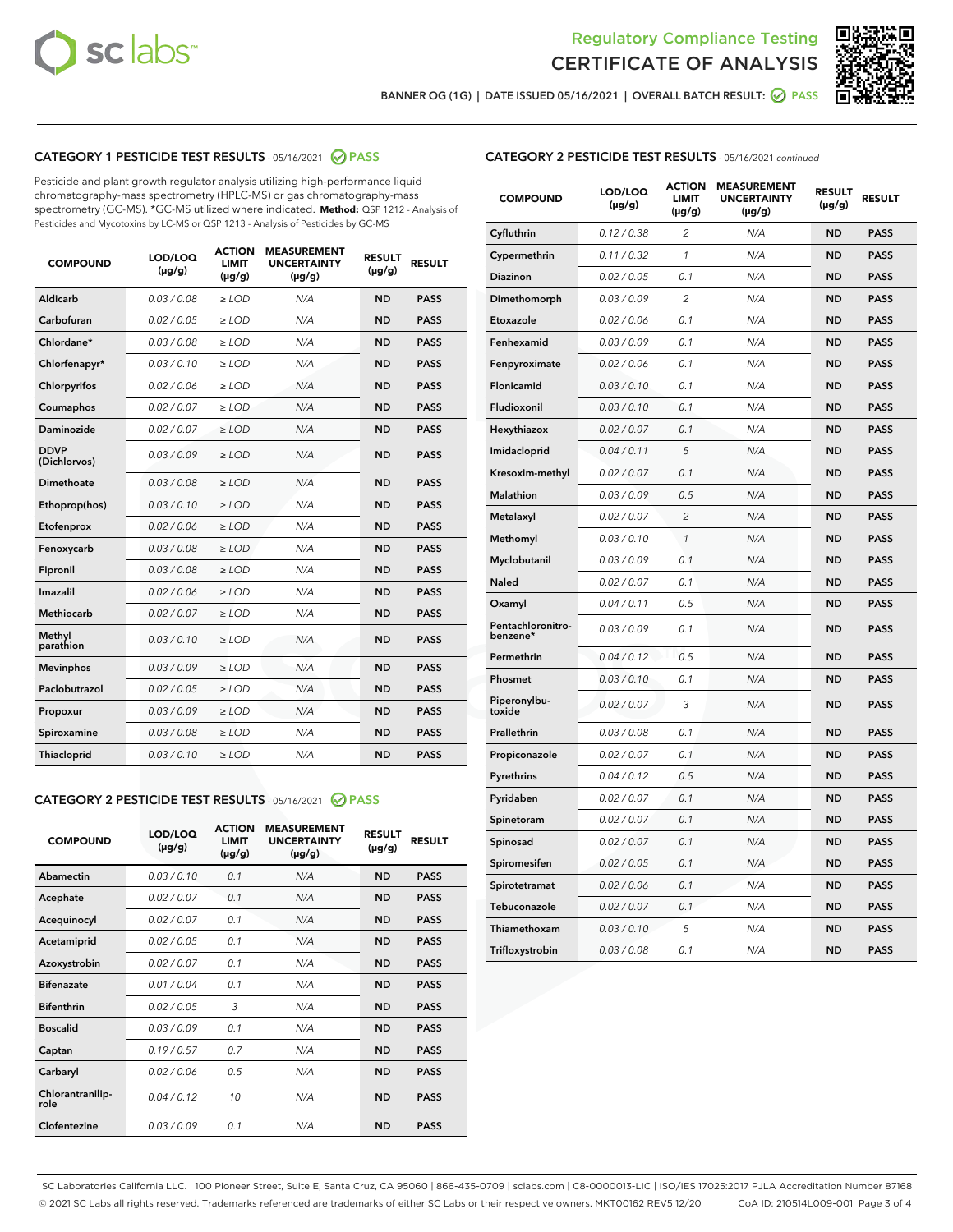



BANNER OG (1G) | DATE ISSUED 05/16/2021 | OVERALL BATCH RESULT:  $\bigotimes$  PASS

## CATEGORY 1 PESTICIDE TEST RESULTS - 05/16/2021 2 PASS

Pesticide and plant growth regulator analysis utilizing high-performance liquid chromatography-mass spectrometry (HPLC-MS) or gas chromatography-mass spectrometry (GC-MS). \*GC-MS utilized where indicated. **Method:** QSP 1212 - Analysis of Pesticides and Mycotoxins by LC-MS or QSP 1213 - Analysis of Pesticides by GC-MS

| 0.03 / 0.08<br><b>ND</b><br>Aldicarb<br>$\ge$ LOD<br>N/A<br><b>PASS</b><br>Carbofuran<br>0.02 / 0.05<br>N/A<br><b>ND</b><br><b>PASS</b><br>$\geq$ LOD<br>Chlordane*<br>0.03 / 0.08<br>N/A<br><b>ND</b><br><b>PASS</b><br>$\geq$ LOD<br>Chlorfenapyr*<br>0.03/0.10<br>N/A<br><b>ND</b><br><b>PASS</b><br>$\geq$ LOD<br>N/A<br><b>ND</b><br><b>PASS</b><br>Chlorpyrifos<br>0.02 / 0.06<br>$\ge$ LOD<br>0.02 / 0.07<br>N/A<br><b>ND</b><br><b>PASS</b><br>Coumaphos<br>$\ge$ LOD<br>Daminozide<br>0.02 / 0.07<br>$\ge$ LOD<br>N/A<br><b>ND</b><br><b>PASS</b><br><b>DDVP</b><br>0.03/0.09<br>$\ge$ LOD<br>N/A<br><b>ND</b><br><b>PASS</b><br>(Dichlorvos)<br><b>Dimethoate</b><br>0.03 / 0.08<br><b>PASS</b><br>$\ge$ LOD<br>N/A<br><b>ND</b><br>0.03/0.10<br>N/A<br><b>ND</b><br><b>PASS</b><br>Ethoprop(hos)<br>$\ge$ LOD<br>0.02/0.06<br>N/A<br><b>ND</b><br><b>PASS</b><br>Etofenprox<br>$>$ LOD<br>0.03 / 0.08<br><b>ND</b><br><b>PASS</b><br>Fenoxycarb<br>$\ge$ LOD<br>N/A<br>0.03 / 0.08<br>$\ge$ LOD<br>N/A<br><b>ND</b><br><b>PASS</b><br>Fipronil<br>Imazalil<br>0.02 / 0.06<br>N/A<br><b>ND</b><br>$>$ LOD<br><b>PASS</b><br><b>Methiocarb</b><br>0.02 / 0.07<br>$\ge$ LOD<br>N/A<br><b>ND</b><br><b>PASS</b><br>Methyl<br>0.03/0.10<br>N/A<br><b>ND</b><br>$\ge$ LOD<br><b>PASS</b><br>parathion<br><b>Mevinphos</b><br>0.03/0.09<br>$>$ LOD<br>N/A<br><b>ND</b><br><b>PASS</b><br>Paclobutrazol<br>0.02 / 0.05<br>N/A<br><b>ND</b><br><b>PASS</b><br>$\ge$ LOD<br>0.03/0.09<br>$\ge$ LOD<br>N/A<br><b>ND</b><br><b>PASS</b><br>Propoxur<br>0.03 / 0.08<br>$\ge$ LOD<br>N/A<br><b>ND</b><br><b>PASS</b><br>Spiroxamine<br>0.03/0.10<br><b>Thiacloprid</b><br>$\ge$ LOD<br>N/A<br><b>ND</b><br><b>PASS</b> | <b>COMPOUND</b> | LOD/LOQ<br>$(\mu g/g)$ | <b>ACTION</b><br><b>LIMIT</b><br>$(\mu g/g)$ | <b>MEASUREMENT</b><br><b>UNCERTAINTY</b><br>$(\mu g/g)$ | <b>RESULT</b><br>$(\mu g/g)$ | <b>RESULT</b> |
|---------------------------------------------------------------------------------------------------------------------------------------------------------------------------------------------------------------------------------------------------------------------------------------------------------------------------------------------------------------------------------------------------------------------------------------------------------------------------------------------------------------------------------------------------------------------------------------------------------------------------------------------------------------------------------------------------------------------------------------------------------------------------------------------------------------------------------------------------------------------------------------------------------------------------------------------------------------------------------------------------------------------------------------------------------------------------------------------------------------------------------------------------------------------------------------------------------------------------------------------------------------------------------------------------------------------------------------------------------------------------------------------------------------------------------------------------------------------------------------------------------------------------------------------------------------------------------------------------------------------------------------------------------------------------------------------------------------------|-----------------|------------------------|----------------------------------------------|---------------------------------------------------------|------------------------------|---------------|
|                                                                                                                                                                                                                                                                                                                                                                                                                                                                                                                                                                                                                                                                                                                                                                                                                                                                                                                                                                                                                                                                                                                                                                                                                                                                                                                                                                                                                                                                                                                                                                                                                                                                                                                     |                 |                        |                                              |                                                         |                              |               |
|                                                                                                                                                                                                                                                                                                                                                                                                                                                                                                                                                                                                                                                                                                                                                                                                                                                                                                                                                                                                                                                                                                                                                                                                                                                                                                                                                                                                                                                                                                                                                                                                                                                                                                                     |                 |                        |                                              |                                                         |                              |               |
|                                                                                                                                                                                                                                                                                                                                                                                                                                                                                                                                                                                                                                                                                                                                                                                                                                                                                                                                                                                                                                                                                                                                                                                                                                                                                                                                                                                                                                                                                                                                                                                                                                                                                                                     |                 |                        |                                              |                                                         |                              |               |
|                                                                                                                                                                                                                                                                                                                                                                                                                                                                                                                                                                                                                                                                                                                                                                                                                                                                                                                                                                                                                                                                                                                                                                                                                                                                                                                                                                                                                                                                                                                                                                                                                                                                                                                     |                 |                        |                                              |                                                         |                              |               |
|                                                                                                                                                                                                                                                                                                                                                                                                                                                                                                                                                                                                                                                                                                                                                                                                                                                                                                                                                                                                                                                                                                                                                                                                                                                                                                                                                                                                                                                                                                                                                                                                                                                                                                                     |                 |                        |                                              |                                                         |                              |               |
|                                                                                                                                                                                                                                                                                                                                                                                                                                                                                                                                                                                                                                                                                                                                                                                                                                                                                                                                                                                                                                                                                                                                                                                                                                                                                                                                                                                                                                                                                                                                                                                                                                                                                                                     |                 |                        |                                              |                                                         |                              |               |
|                                                                                                                                                                                                                                                                                                                                                                                                                                                                                                                                                                                                                                                                                                                                                                                                                                                                                                                                                                                                                                                                                                                                                                                                                                                                                                                                                                                                                                                                                                                                                                                                                                                                                                                     |                 |                        |                                              |                                                         |                              |               |
|                                                                                                                                                                                                                                                                                                                                                                                                                                                                                                                                                                                                                                                                                                                                                                                                                                                                                                                                                                                                                                                                                                                                                                                                                                                                                                                                                                                                                                                                                                                                                                                                                                                                                                                     |                 |                        |                                              |                                                         |                              |               |
|                                                                                                                                                                                                                                                                                                                                                                                                                                                                                                                                                                                                                                                                                                                                                                                                                                                                                                                                                                                                                                                                                                                                                                                                                                                                                                                                                                                                                                                                                                                                                                                                                                                                                                                     |                 |                        |                                              |                                                         |                              |               |
|                                                                                                                                                                                                                                                                                                                                                                                                                                                                                                                                                                                                                                                                                                                                                                                                                                                                                                                                                                                                                                                                                                                                                                                                                                                                                                                                                                                                                                                                                                                                                                                                                                                                                                                     |                 |                        |                                              |                                                         |                              |               |
|                                                                                                                                                                                                                                                                                                                                                                                                                                                                                                                                                                                                                                                                                                                                                                                                                                                                                                                                                                                                                                                                                                                                                                                                                                                                                                                                                                                                                                                                                                                                                                                                                                                                                                                     |                 |                        |                                              |                                                         |                              |               |
|                                                                                                                                                                                                                                                                                                                                                                                                                                                                                                                                                                                                                                                                                                                                                                                                                                                                                                                                                                                                                                                                                                                                                                                                                                                                                                                                                                                                                                                                                                                                                                                                                                                                                                                     |                 |                        |                                              |                                                         |                              |               |
|                                                                                                                                                                                                                                                                                                                                                                                                                                                                                                                                                                                                                                                                                                                                                                                                                                                                                                                                                                                                                                                                                                                                                                                                                                                                                                                                                                                                                                                                                                                                                                                                                                                                                                                     |                 |                        |                                              |                                                         |                              |               |
|                                                                                                                                                                                                                                                                                                                                                                                                                                                                                                                                                                                                                                                                                                                                                                                                                                                                                                                                                                                                                                                                                                                                                                                                                                                                                                                                                                                                                                                                                                                                                                                                                                                                                                                     |                 |                        |                                              |                                                         |                              |               |
|                                                                                                                                                                                                                                                                                                                                                                                                                                                                                                                                                                                                                                                                                                                                                                                                                                                                                                                                                                                                                                                                                                                                                                                                                                                                                                                                                                                                                                                                                                                                                                                                                                                                                                                     |                 |                        |                                              |                                                         |                              |               |
|                                                                                                                                                                                                                                                                                                                                                                                                                                                                                                                                                                                                                                                                                                                                                                                                                                                                                                                                                                                                                                                                                                                                                                                                                                                                                                                                                                                                                                                                                                                                                                                                                                                                                                                     |                 |                        |                                              |                                                         |                              |               |
|                                                                                                                                                                                                                                                                                                                                                                                                                                                                                                                                                                                                                                                                                                                                                                                                                                                                                                                                                                                                                                                                                                                                                                                                                                                                                                                                                                                                                                                                                                                                                                                                                                                                                                                     |                 |                        |                                              |                                                         |                              |               |
|                                                                                                                                                                                                                                                                                                                                                                                                                                                                                                                                                                                                                                                                                                                                                                                                                                                                                                                                                                                                                                                                                                                                                                                                                                                                                                                                                                                                                                                                                                                                                                                                                                                                                                                     |                 |                        |                                              |                                                         |                              |               |
|                                                                                                                                                                                                                                                                                                                                                                                                                                                                                                                                                                                                                                                                                                                                                                                                                                                                                                                                                                                                                                                                                                                                                                                                                                                                                                                                                                                                                                                                                                                                                                                                                                                                                                                     |                 |                        |                                              |                                                         |                              |               |
|                                                                                                                                                                                                                                                                                                                                                                                                                                                                                                                                                                                                                                                                                                                                                                                                                                                                                                                                                                                                                                                                                                                                                                                                                                                                                                                                                                                                                                                                                                                                                                                                                                                                                                                     |                 |                        |                                              |                                                         |                              |               |
|                                                                                                                                                                                                                                                                                                                                                                                                                                                                                                                                                                                                                                                                                                                                                                                                                                                                                                                                                                                                                                                                                                                                                                                                                                                                                                                                                                                                                                                                                                                                                                                                                                                                                                                     |                 |                        |                                              |                                                         |                              |               |

## CATEGORY 2 PESTICIDE TEST RESULTS - 05/16/2021 @ PASS

| <b>COMPOUND</b>          | LOD/LOO<br>$(\mu g/g)$ | <b>ACTION</b><br>LIMIT<br>$(\mu g/g)$ | <b>MEASUREMENT</b><br><b>UNCERTAINTY</b><br>$(\mu g/g)$ | <b>RESULT</b><br>$(\mu g/g)$ | <b>RESULT</b> |  |
|--------------------------|------------------------|---------------------------------------|---------------------------------------------------------|------------------------------|---------------|--|
| Abamectin                | 0.03/0.10              | 0.1                                   | N/A                                                     | <b>ND</b>                    | <b>PASS</b>   |  |
| Acephate                 | 0.02/0.07              | 0.1                                   | N/A                                                     | <b>ND</b>                    | <b>PASS</b>   |  |
| Acequinocyl              | 0.02/0.07              | 0.1                                   | N/A                                                     | <b>ND</b>                    | <b>PASS</b>   |  |
| Acetamiprid              | 0.02/0.05              | 0.1                                   | N/A                                                     | <b>ND</b>                    | <b>PASS</b>   |  |
| Azoxystrobin             | 0.02/0.07              | 0.1                                   | N/A                                                     | <b>ND</b>                    | <b>PASS</b>   |  |
| <b>Bifenazate</b>        | 0.01/0.04              | 0.1                                   | N/A                                                     | <b>ND</b>                    | <b>PASS</b>   |  |
| <b>Bifenthrin</b>        | 0.02/0.05              | 3                                     | N/A                                                     | <b>ND</b>                    | <b>PASS</b>   |  |
| <b>Boscalid</b>          | 0.03/0.09              | 0.1                                   | N/A                                                     | <b>ND</b>                    | <b>PASS</b>   |  |
| Captan                   | 0.19/0.57              | 0.7                                   | N/A                                                     | <b>ND</b>                    | <b>PASS</b>   |  |
| Carbaryl                 | 0.02/0.06              | 0.5                                   | N/A                                                     | <b>ND</b>                    | <b>PASS</b>   |  |
| Chlorantranilip-<br>role | 0.04/0.12              | 10                                    | N/A                                                     | <b>ND</b>                    | <b>PASS</b>   |  |
| Clofentezine             | 0.03/0.09              | 0.1                                   | N/A                                                     | <b>ND</b>                    | <b>PASS</b>   |  |

| <b>COMPOUND</b>               | LOD/LOQ<br>(µg/g) | ACTION<br><b>LIMIT</b><br>$(\mu g/g)$ | <b>MEASUREMENT</b><br><b>UNCERTAINTY</b><br>(µg/g) | <b>RESULT</b><br>(µg/g) | <b>RESULT</b> |
|-------------------------------|-------------------|---------------------------------------|----------------------------------------------------|-------------------------|---------------|
| Cyfluthrin                    | 0.12 / 0.38       | $\overline{c}$                        | N/A                                                | <b>ND</b>               | <b>PASS</b>   |
| Cypermethrin                  | 0.11 / 0.32       | $\mathbf{1}$                          | N/A                                                | <b>ND</b>               | <b>PASS</b>   |
| Diazinon                      | 0.02 / 0.05       | 0.1                                   | N/A                                                | <b>ND</b>               | <b>PASS</b>   |
| Dimethomorph                  | 0.03 / 0.09       | 2                                     | N/A                                                | ND                      | <b>PASS</b>   |
| Etoxazole                     | 0.02 / 0.06       | 0.1                                   | N/A                                                | <b>ND</b>               | <b>PASS</b>   |
| Fenhexamid                    | 0.03 / 0.09       | 0.1                                   | N/A                                                | <b>ND</b>               | <b>PASS</b>   |
| Fenpyroximate                 | 0.02 / 0.06       | 0.1                                   | N/A                                                | ND                      | <b>PASS</b>   |
| Flonicamid                    | 0.03 / 0.10       | 0.1                                   | N/A                                                | <b>ND</b>               | <b>PASS</b>   |
| Fludioxonil                   | 0.03 / 0.10       | 0.1                                   | N/A                                                | <b>ND</b>               | <b>PASS</b>   |
| Hexythiazox                   | 0.02 / 0.07       | 0.1                                   | N/A                                                | <b>ND</b>               | <b>PASS</b>   |
| Imidacloprid                  | 0.04 / 0.11       | 5                                     | N/A                                                | <b>ND</b>               | <b>PASS</b>   |
| Kresoxim-methyl               | 0.02 / 0.07       | 0.1                                   | N/A                                                | <b>ND</b>               | <b>PASS</b>   |
| <b>Malathion</b>              | 0.03/0.09         | 0.5                                   | N/A                                                | ND                      | <b>PASS</b>   |
| Metalaxyl                     | 0.02 / 0.07       | $\overline{2}$                        | N/A                                                | <b>ND</b>               | <b>PASS</b>   |
| Methomyl                      | 0.03 / 0.10       | $\mathcal{I}$                         | N/A                                                | <b>ND</b>               | <b>PASS</b>   |
| Myclobutanil                  | 0.03 / 0.09       | 0.1                                   | N/A                                                | <b>ND</b>               | <b>PASS</b>   |
| <b>Naled</b>                  | 0.02 / 0.07       | 0.1                                   | N/A                                                | <b>ND</b>               | <b>PASS</b>   |
| Oxamyl                        | 0.04 / 0.11       | 0.5                                   | N/A                                                | <b>ND</b>               | <b>PASS</b>   |
| Pentachloronitro-<br>benzene* | 0.03 / 0.09       | 0.1                                   | N/A                                                | <b>ND</b>               | <b>PASS</b>   |
| Permethrin                    | 0.04 / 0.12       | 0.5                                   | N/A                                                | <b>ND</b>               | <b>PASS</b>   |
| Phosmet                       | 0.03/0.10         | 0.1                                   | N/A                                                | <b>ND</b>               | <b>PASS</b>   |
| Piperonylbu-<br>toxide        | 0.02 / 0.07       | 3                                     | N/A                                                | <b>ND</b>               | <b>PASS</b>   |
| Prallethrin                   | 0.03 / 0.08       | 0.1                                   | N/A                                                | <b>ND</b>               | <b>PASS</b>   |
| Propiconazole                 | 0.02 / 0.07       | 0.1                                   | N/A                                                | <b>ND</b>               | <b>PASS</b>   |
| Pyrethrins                    | 0.04 / 0.12       | 0.5                                   | N/A                                                | <b>ND</b>               | <b>PASS</b>   |
| Pyridaben                     | 0.02 / 0.07       | 0.1                                   | N/A                                                | <b>ND</b>               | <b>PASS</b>   |
| Spinetoram                    | 0.02 / 0.07       | 0.1                                   | N/A                                                | <b>ND</b>               | <b>PASS</b>   |
| Spinosad                      | 0.02 / 0.07       | 0.1                                   | N/A                                                | <b>ND</b>               | <b>PASS</b>   |
| Spiromesifen                  | 0.02 / 0.05       | 0.1                                   | N/A                                                | ND                      | <b>PASS</b>   |
| Spirotetramat                 | 0.02 / 0.06       | 0.1                                   | N/A                                                | ND                      | <b>PASS</b>   |
| Tebuconazole                  | 0.02 / 0.07       | 0.1                                   | N/A                                                | <b>ND</b>               | <b>PASS</b>   |
| Thiamethoxam                  | 0.03 / 0.10       | 5                                     | N/A                                                | ND                      | <b>PASS</b>   |
| Trifloxystrobin               | 0.03 / 0.08       | 0.1                                   | N/A                                                | ND                      | <b>PASS</b>   |

SC Laboratories California LLC. | 100 Pioneer Street, Suite E, Santa Cruz, CA 95060 | 866-435-0709 | sclabs.com | C8-0000013-LIC | ISO/IES 17025:2017 PJLA Accreditation Number 87168 © 2021 SC Labs all rights reserved. Trademarks referenced are trademarks of either SC Labs or their respective owners. MKT00162 REV5 12/20 CoA ID: 210514L009-001 Page 3 of 4